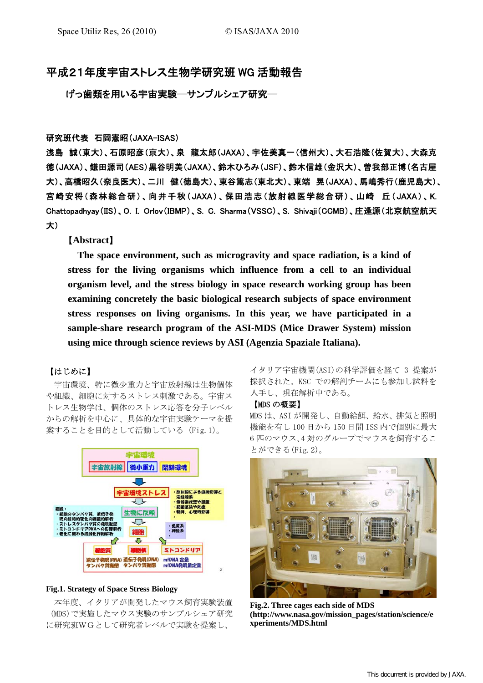# 平成21年度宇宙ストレス生物学研究班 WG 活動報告

げっ歯類を用いる宇宙実験─サンプルシェア研究─

## 研究班代表 石岡憲昭(JAXA-ISAS)

浅島 誠(東大)、石原昭彦(京大)、泉 龍太郎(JAXA)、宇佐美真一(信州大)、大石浩隆(佐賀大)、大森克 徳(JAXA)、鎌田源司(AES)黒谷明美(JAXA)、鈴木ひろみ(JSF)、鈴木信雄(金沢大)、曽我部正博(名古屋 大)、高橋昭久(奈良医大)、二川 健(徳島大)、東谷篤志(東北大)、東端 晃(JAXA)、馬嶋秀行(鹿児島大)、 宮崎安将(森林総合研)、向井千秋(JAXA)、保田浩志(放射線医学総合研)、山崎 丘(JAXA)、K. Chattopadhyay(IIS)、O. I. Orlov(IBMP)、S. C. Sharma(VSSC)、S. Shivaji(CCMB)、庄逢源(北京航空航天 大)

### 【**Abstract**】

**The space environment, such as microgravity and space radiation, is a kind of stress for the living organisms which influence from a cell to an individual organism level, and the stress biology in space research working group has been examining concretely the basic biological research subjects of space environment stress responses on living organisms. In this year, we have participated in a sample-share research program of the ASI-MDS (Mice Drawer System) mission using mice through science reviews by ASI (Agenzia Spaziale Italiana).** 

### 【はじめに】

宇宙環境、特に微少重力と宇宙放射線は生物個体 や組織、細胞に対するストレス刺激である。宇宙ス トレス生物学は、個体のストレス応答を分子レベル からの解析を中心に、具体的な宇宙実験テーマを提 案することを目的として活動している (Fig.1)。



#### **Fig.1. Strategy of Space Stress Biology**

本年度、イタリアが開発したマウス飼育実験装置 (MDS)で実施したマウス実験のサンプルシェア研究 に研究班WGとして研究者レベルで実験を提案し、

イタリア宇宙機関(ASI)の科学評価を経て 3 提案が 採択された。KSC での解剖チームにも参加し試料を 入手し、現在解析中である。

### 【MDS の概要】

MDS は、ASI が開発し、自動給餌、給水、排気と照明 機能を有し 100 日から 150 日間 ISS 内で個別に最大 6 匹のマウス、4 対のグループでマウスを飼育するこ とができる(Fig.2)。



**Fig.2. Three cages each side of MDS (http://www.nasa.gov/mission\_pages/station/science/e xperiments/MDS.html**